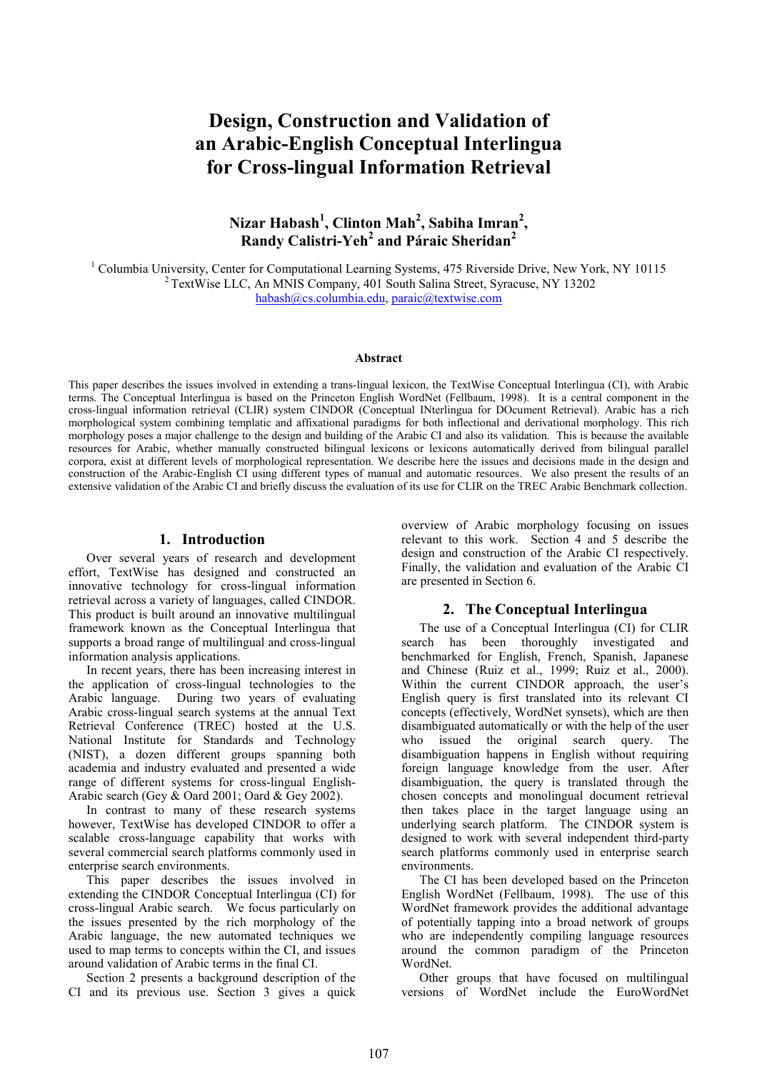# Design, Construction and Validation of an Arabic-English Conceptual Interlingua for Cross-lingual Information Retrieval

# Nizar Habash<sup>1</sup>, Clinton Mah<sup>2</sup>, Sabiha Imran<sup>2</sup>, Randy Calistri-Yeh<sup>2</sup> and Páraic Sheridan<sup>2</sup>

<sup>1</sup> Columbia University, Center for Computational Learning Systems, 475 Riverside Drive, New York, NY 10115 <sup>2</sup> TextWise LLC, An MNIS Company, 401 South Salina Street, Syracuse, NY 13202 habash@cs.columbia.edu, paraic@textwise.com

#### Abstract

This paper describes the issues involved in extending a trans-lingual lexicon, the TextWise Conceptual Interlingua (CI), with Arabic terms. The Conceptual Interlingua is based on the Princeton English WordNet (Fellbaum, 1998). It is a central component in the cross-lingual information retrieval (CLIR) system CINDOR (Conceptual INterlingua for DOcument Retrieval). Arabic has a rich morphological system combining templatic and affixational paradigms for both inflectional and derivational morphology. This rich morphology poses a major challenge to the design and building of the Arabic CI and also its validation. This is because the available resources for Arabic, whether manually constructed bilingual lexicons or lexicons automatically derived from bilingual parallel corpora, exist at different levels of morphological representation. We describe here the issues and decisions made in the design and construction of the Arabic-English CI using different types of manual and automatic resources. We also present the results of an extensive validation of the Arabic CI and briefly discuss the evaluation of its use for CLIR on the TREC Arabic Benchmark collection.

#### 1. Introduction

Over several years of research and development effort, TextWise has designed and constructed an innovative technology for cross-lingual information retrieval across a variety of languages, called CINDOR. This product is built around an innovative multilingual framework known as the Conceptual Interlingua that supports a broad range of multilingual and cross-lingual information analysis applications.

In recent years, there has been increasing interest in the application of cross-lingual technologies to the Arabic language. During two years of evaluating Arabic cross-lingual search systems at the annual Text Retrieval Conference (TREC) hosted at the U.S. National Institute for Standards and Technology (NIST), a dozen different groups spanning both academia and industry evaluated and presented a wide range of different systems for cross-lingual English-Arabic search (Gey & Oard 2001; Oard & Gey 2002).

In contrast to many of these research systems however, TextWise has developed CINDOR to offer a scalable cross-language capability that works with several commercial search platforms commonly used in enterprise search environments.

This paper describes the issues involved in extending the CINDOR Conceptual Interlingua (CI) for cross-lingual Arabic search. We focus particularly on the issues presented by the rich morphology of the Arabic language, the new automated techniques we used to map terms to concepts within the CI, and issues around validation of Arabic terms in the final CI.

Section 2 presents a background description of the CI and its previous use. Section 3 gives a quick

overview of Arabic morphology focusing on issues relevant to this work. Section 4 and 5 describe the design and construction of the Arabic CI respectively. Finally, the validation and evaluation of the Arabic CI are presented in Section 6.

#### 2. The Conceptual Interlingua

The use of a Conceptual Interlingua (CI) for CLIR search has been thoroughly investigated and benchmarked for English, French, Spanish, Japanese and Chinese (Ruiz et al., 1999; Ruiz et al., 2000). Within the current CINDOR approach, the user's English query is first translated into its relevant CI concepts (effectively, WordNet synsets), which are then disambiguated automatically or with the help of the user who issued the original search query. The disambiguation happens in English without requiring foreign language knowledge from the user. After disambiguation, the query is translated through the chosen concepts and monolingual document retrieval then takes place in the target language using an underlying search platform. The CINDOR system is designed to work with several independent third-party search platforms commonly used in enterprise search environments.

The CI has been developed based on the Princeton English WordNet (Fellbaum, 1998). The use of this WordNet framework provides the additional advantage of potentially tapping into a broad network of groups who are independently compiling language resources around the common paradigm of the Princeton WordNet.

Other groups that have focused on multilingual versions of WordNet include the EuroWordNet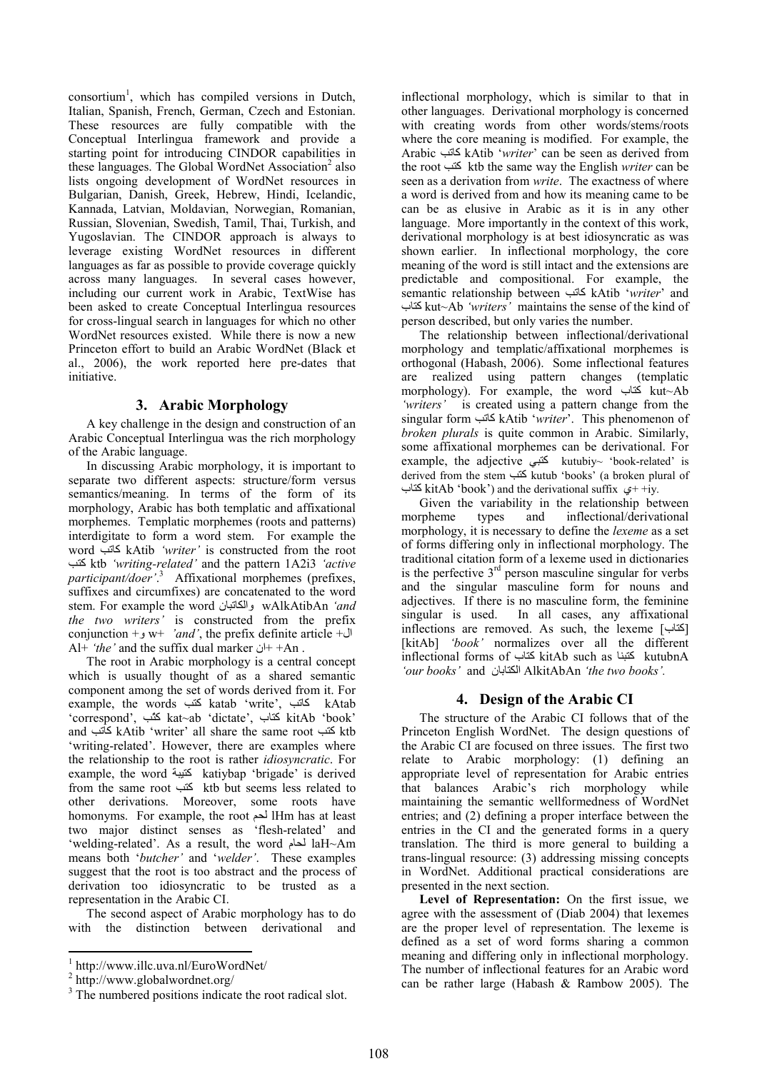$\text{consortium}^1$ , which has compiled versions in Dutch, Italian, Spanish, French, German, Czech and Estonian. These resources are fully compatible with the Conceptual Interlingua framework and provide a starting point for introducing CINDOR capabilities in these languages. The Global WordNet Association<sup>2</sup> also lists ongoing development of WordNet resources in Bulgarian, Danish, Greek, Hebrew, Hindi, Icelandic, Kannada, Latvian, Moldavian, Norwegian, Romanian, Russian, Slovenian, Swedish, Tamil, Thai, Turkish, and Yugoslavian. The CINDOR approach is always to leverage existing WordNet resources in different languages as far as possible to provide coverage quickly across many languages. In several cases however, including our current work in Arabic, TextWise has been asked to create Conceptual Interlingua resources for cross-lingual search in languages for which no other WordNet resources existed. While there is now a new Princeton effort to build an Arabic WordNet (Black et al., 2006), the work reported here pre-dates that initiative.

## 3. Arabic Morphology

A key challenge in the design and construction of an Arabic Conceptual Interlingua was the rich morphology of the Arabic language.

In discussing Arabic morphology, it is important to separate two different aspects: structure/form versus semantics/meaning. In terms of the form of its morphology, Arabic has both templatic and affixational morphemes. Templatic morphemes (roots and patterns) interdigitate to form a word stem. For example the word كاتب kAtib 'writer' is constructed from the root GKآ ktb 'writing-related' and the pattern 1A2i3 'active participant/doer'.<sup>3</sup> Affixational morphemes (prefixes, suffixes and circumfixes) are concatenated to the word stem. For example the word والكاتبان wAlkAtibAn 'and the two writers' is constructed from the prefix conjunction +  $w$ + 'and', the prefix definite article + ال Al+ 'the' and the suffix dual marker  $+$ ان+ +An .

The root in Arabic morphology is a central concept which is usually thought of as a shared semantic component among the set of words derived from it. For example, the words كتب katab 'write', كاتب kAtab 'correspond', GّKآ kat~ab 'dictate', بIKآ kitAb 'book' and كَتب kAtib 'writer' all share the same root كَتب ktb 'writing-related'. However, there are examples where the relationship to the root is rather idiosyncratic. For example, the word  $\Xi$  katiybap 'brigade' is derived from the same root GKآ ktb but seems less related to other derivations. Moreover, some roots have homonyms. For example, the root  $\blacktriangleright$  lHm has at least two major distinct senses as 'flesh-related' and 'welding-related'. As a result, the word أحام laH~Am means both 'butcher' and 'welder'. These examples suggest that the root is too abstract and the process of derivation too idiosyncratic to be trusted as a representation in the Arabic CI.

The second aspect of Arabic morphology has to do with the distinction between derivational and

inflectional morphology, which is similar to that in other languages. Derivational morphology is concerned with creating words from other words/stems/roots where the core meaning is modified. For example, the Arabic GHIآ kAtib 'writer' can be seen as derived from the root كتب ktb the same way the English writer can be seen as a derivation from write. The exactness of where a word is derived from and how its meaning came to be can be as elusive in Arabic as it is in any other language. More importantly in the context of this work, derivational morphology is at best idiosyncratic as was shown earlier. In inflectional morphology, the core meaning of the word is still intact and the extensions are predictable and compositional. For example, the semantic relationship between كاتب kAtib 'writer' and بIKآ kut~Ab 'writers' maintains the sense of the kind of person described, but only varies the number.

The relationship between inflectional/derivational morphology and templatic/affixational morphemes is orthogonal (Habash, 2006). Some inflectional features are realized using pattern changes (templatic morphology). For example, the word بالكتاب kut~Ab 'writers' is created using a pattern change from the singular form كاتب kAtib 'writer'. This phenomenon of broken plurals is quite common in Arabic. Similarly, some affixational morphemes can be derivational. For example, the adjective  $\frac{dN}{dx}$  kutubiy~ 'book-related' is derived from the stem كتب kutub 'books' (a broken plural of كتاب kitAb 'book') and the derivational suffix  $+ +iy$ .

Given the variability in the relationship between morpheme types and inflectional/derivational morphology, it is necessary to define the lexeme as a set of forms differing only in inflectional morphology. The traditional citation form of a lexeme used in dictionaries is the perfective  $3<sup>rd</sup>$  person masculine singular for verbs and the singular masculine form for nouns and adjectives. If there is no masculine form, the feminine singular is used. In all cases, any affixational inflections are removed. As such, the lexeme [ $\Xi$ ] [kitAb] 'book' normalizes over all the different inflectional forms of كتبنا kitAb such as كتبنا kutubnA 'our books' and المكتابان AlkitAbAn 'the two books'.

# 4. Design of the Arabic CI

The structure of the Arabic CI follows that of the Princeton English WordNet. The design questions of the Arabic CI are focused on three issues. The first two relate to Arabic morphology: (1) defining an appropriate level of representation for Arabic entries that balances Arabic's rich morphology while maintaining the semantic wellformedness of WordNet entries; and (2) defining a proper interface between the entries in the CI and the generated forms in a query translation. The third is more general to building a trans-lingual resource: (3) addressing missing concepts in WordNet. Additional practical considerations are presented in the next section.

Level of Representation: On the first issue, we agree with the assessment of (Diab 2004) that lexemes are the proper level of representation. The lexeme is defined as a set of word forms sharing a common meaning and differing only in inflectional morphology. The number of inflectional features for an Arabic word can be rather large (Habash & Rambow 2005). The

<sup>1</sup> http://www.illc.uva.nl/EuroWordNet/

<sup>2</sup> http://www.globalwordnet.org/

<sup>&</sup>lt;sup>3</sup> The numbered positions indicate the root radical slot.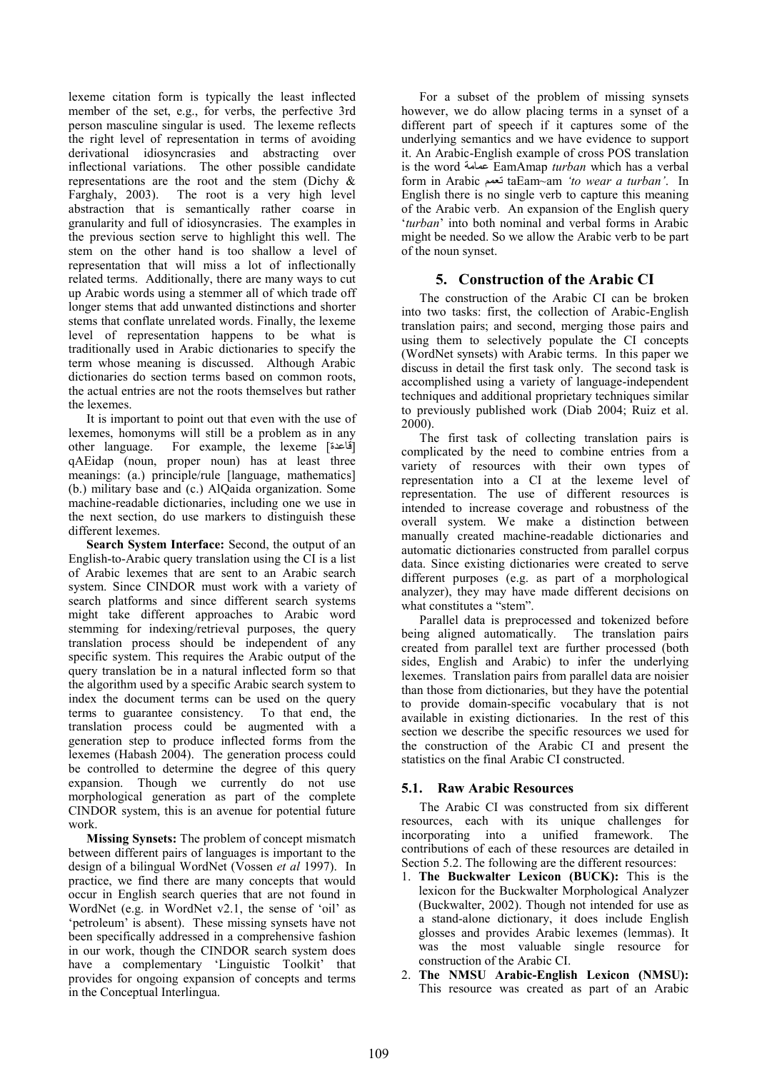lexeme citation form is typically the least inflected member of the set, e.g., for verbs, the perfective 3rd person masculine singular is used. The lexeme reflects the right level of representation in terms of avoiding derivational idiosyncrasies and abstracting over inflectional variations. The other possible candidate representations are the root and the stem (Dichy & Farghaly, 2003). The root is a very high level abstraction that is semantically rather coarse in granularity and full of idiosyncrasies. The examples in the previous section serve to highlight this well. The stem on the other hand is too shallow a level of representation that will miss a lot of inflectionally related terms. Additionally, there are many ways to cut up Arabic words using a stemmer all of which trade off longer stems that add unwanted distinctions and shorter stems that conflate unrelated words. Finally, the lexeme level of representation happens to be what is traditionally used in Arabic dictionaries to specify the term whose meaning is discussed. Although Arabic dictionaries do section terms based on common roots, the actual entries are not the roots themselves but rather the lexemes.

It is important to point out that even with the use of lexemes, homonyms will still be a problem as in any other language. For example, the lexeme [قاعدة] qAEidap (noun, proper noun) has at least three meanings: (a.) principle/rule [language, mathematics] (b.) military base and (c.) AlQaida organization. Some machine-readable dictionaries, including one we use in the next section, do use markers to distinguish these different lexemes.

Search System Interface: Second, the output of an English-to-Arabic query translation using the CI is a list of Arabic lexemes that are sent to an Arabic search system. Since CINDOR must work with a variety of search platforms and since different search systems might take different approaches to Arabic word stemming for indexing/retrieval purposes, the query translation process should be independent of any specific system. This requires the Arabic output of the query translation be in a natural inflected form so that the algorithm used by a specific Arabic search system to index the document terms can be used on the query terms to guarantee consistency. To that end, the translation process could be augmented with a generation step to produce inflected forms from the lexemes (Habash 2004). The generation process could be controlled to determine the degree of this query expansion. Though we currently do not use morphological generation as part of the complete CINDOR system, this is an avenue for potential future work.

Missing Synsets: The problem of concept mismatch between different pairs of languages is important to the design of a bilingual WordNet (Vossen et al 1997). In practice, we find there are many concepts that would occur in English search queries that are not found in WordNet (e.g. in WordNet v2.1, the sense of 'oil' as 'petroleum' is absent). These missing synsets have not been specifically addressed in a comprehensive fashion in our work, though the CINDOR search system does have a complementary 'Linguistic Toolkit' that provides for ongoing expansion of concepts and terms in the Conceptual Interlingua.

For a subset of the problem of missing synsets however, we do allow placing terms in a synset of a different part of speech if it captures some of the underlying semantics and we have evidence to support it. An Arabic-English example of cross POS translation is the word عمامة EamAmap turban which has a verbal form in Arabic نعمع taEam~am 'to wear a turban'. In English there is no single verb to capture this meaning of the Arabic verb. An expansion of the English query 'turban' into both nominal and verbal forms in Arabic might be needed. So we allow the Arabic verb to be part of the noun synset.

# 5. Construction of the Arabic CI

The construction of the Arabic CI can be broken into two tasks: first, the collection of Arabic-English translation pairs; and second, merging those pairs and using them to selectively populate the CI concepts (WordNet synsets) with Arabic terms. In this paper we discuss in detail the first task only. The second task is accomplished using a variety of language-independent techniques and additional proprietary techniques similar to previously published work (Diab 2004; Ruiz et al. 2000).

The first task of collecting translation pairs is complicated by the need to combine entries from a variety of resources with their own types of representation into a CI at the lexeme level of representation. The use of different resources is intended to increase coverage and robustness of the overall system. We make a distinction between manually created machine-readable dictionaries and automatic dictionaries constructed from parallel corpus data. Since existing dictionaries were created to serve different purposes (e.g. as part of a morphological analyzer), they may have made different decisions on what constitutes a "stem".

Parallel data is preprocessed and tokenized before being aligned automatically. The translation pairs created from parallel text are further processed (both sides, English and Arabic) to infer the underlying lexemes. Translation pairs from parallel data are noisier than those from dictionaries, but they have the potential to provide domain-specific vocabulary that is not available in existing dictionaries. In the rest of this section we describe the specific resources we used for the construction of the Arabic CI and present the statistics on the final Arabic CI constructed.

# 5.1. Raw Arabic Resources

The Arabic CI was constructed from six different resources, each with its unique challenges for incorporating into a unified framework. The contributions of each of these resources are detailed in Section 5.2. The following are the different resources:

- 1. The Buckwalter Lexicon (BUCK): This is the lexicon for the Buckwalter Morphological Analyzer (Buckwalter, 2002). Though not intended for use as a stand-alone dictionary, it does include English glosses and provides Arabic lexemes (lemmas). It was the most valuable single resource for construction of the Arabic CI.
- 2. The NMSU Arabic-English Lexicon (NMSU): This resource was created as part of an Arabic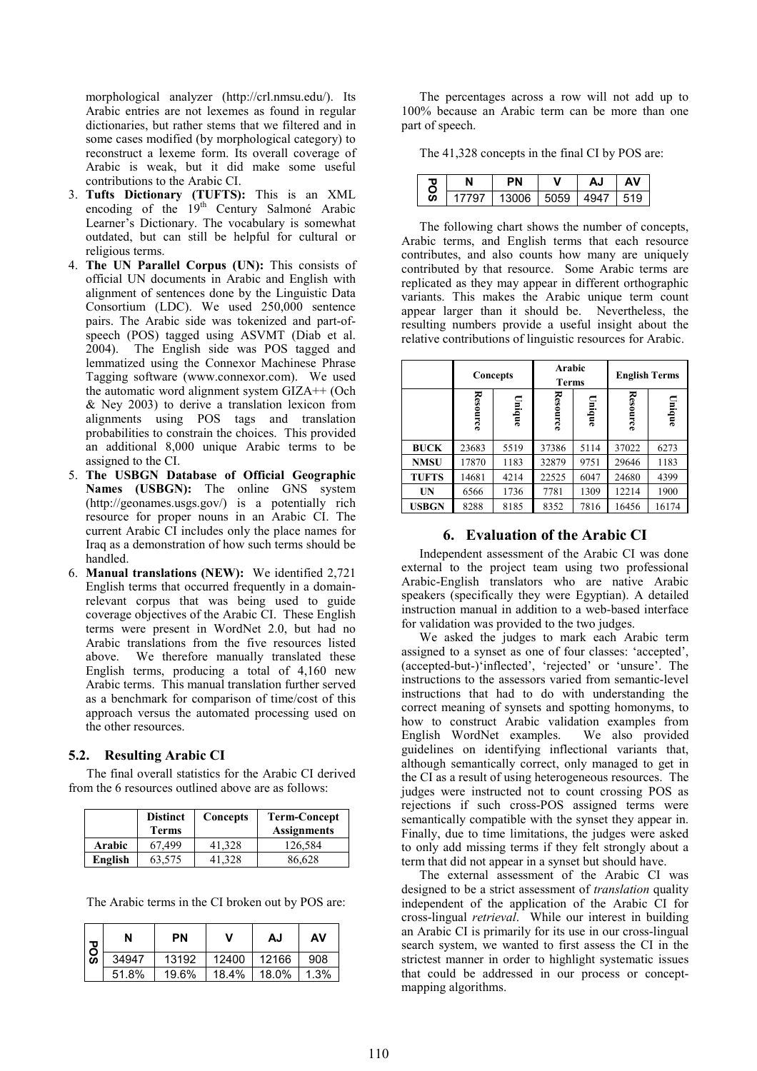morphological analyzer (http://crl.nmsu.edu/). Its Arabic entries are not lexemes as found in regular dictionaries, but rather stems that we filtered and in some cases modified (by morphological category) to reconstruct a lexeme form. Its overall coverage of Arabic is weak, but it did make some useful contributions to the Arabic CI.

- 3. Tufts Dictionary (TUFTS): This is an XML encoding of the 19<sup>th</sup> Century Salmoné Arabic Learner's Dictionary. The vocabulary is somewhat outdated, but can still be helpful for cultural or religious terms.
- 4. The UN Parallel Corpus (UN): This consists of official UN documents in Arabic and English with alignment of sentences done by the Linguistic Data Consortium (LDC). We used 250,000 sentence pairs. The Arabic side was tokenized and part-ofspeech (POS) tagged using ASVMT (Diab et al. 2004). The English side was POS tagged and lemmatized using the Connexor Machinese Phrase Tagging software (www.connexor.com). We used the automatic word alignment system GIZA++ (Och & Ney 2003) to derive a translation lexicon from alignments using POS tags and translation probabilities to constrain the choices. This provided an additional 8,000 unique Arabic terms to be assigned to the CI.
- 5. The USBGN Database of Official Geographic Names (USBGN): The online GNS system (http://geonames.usgs.gov/) is a potentially rich resource for proper nouns in an Arabic CI. The current Arabic CI includes only the place names for Iraq as a demonstration of how such terms should be handled.
- 6. Manual translations (NEW): We identified 2,721 English terms that occurred frequently in a domainrelevant corpus that was being used to guide coverage objectives of the Arabic CI. These English terms were present in WordNet 2.0, but had no Arabic translations from the five resources listed above. We therefore manually translated these English terms, producing a total of 4,160 new Arabic terms. This manual translation further served as a benchmark for comparison of time/cost of this approach versus the automated processing used on the other resources.

### 5.2. Resulting Arabic CI

The final overall statistics for the Arabic CI derived from the 6 resources outlined above are as follows:

|         | <b>Distinct</b><br>Terms | Concepts | <b>Term-Concept</b><br><b>Assignments</b> |
|---------|--------------------------|----------|-------------------------------------------|
| Arabic  | 67.499                   | 41,328   | 126,584                                   |
| English | 63,575                   | 41.328   | 86,628                                    |

The Arabic terms in the CI broken out by POS are:

| <b>POS</b> | N     | PN    | v     | AJ    | AV   |
|------------|-------|-------|-------|-------|------|
|            | 34947 | 13192 | 12400 | 12166 | 908  |
|            | 51.8% | 19.6% | 18.4% | 18.0% | 1.3% |

The percentages across a row will not add up to 100% because an Arabic term can be more than one part of speech.

The 41,328 concepts in the final CI by POS are:

| ٥ |     |       |      |      |  |
|---|-----|-------|------|------|--|
| Ō | 707 | 13006 | 5059 | 4947 |  |

The following chart shows the number of concepts, Arabic terms, and English terms that each resource contributes, and also counts how many are uniquely contributed by that resource. Some Arabic terms are replicated as they may appear in different orthographic variants. This makes the Arabic unique term count appear larger than it should be. Nevertheless, the resulting numbers provide a useful insight about the relative contributions of linguistic resources for Arabic.

|              | Concepts |        | Arabic<br>Terms |        | <b>English Terms</b> |        |
|--------------|----------|--------|-----------------|--------|----------------------|--------|
|              | Resource | Unique | Resource        | Unique | <b>Resource</b>      | Unique |
| <b>BUCK</b>  | 23683    | 5519   | 37386           | 5114   | 37022                | 6273   |
| <b>NMSU</b>  | 17870    | 1183   | 32879           | 9751   | 29646                | 1183   |
| <b>TUFTS</b> | 14681    | 4214   | 22525           | 6047   | 24680                | 4399   |
| UN           | 6566     | 1736   | 7781            | 1309   | 12214                | 1900   |
| <b>USBGN</b> | 8288     | 8185   | 8352            | 7816   | 16456                | 16174  |

### 6. Evaluation of the Arabic CI

Independent assessment of the Arabic CI was done external to the project team using two professional Arabic-English translators who are native Arabic speakers (specifically they were Egyptian). A detailed instruction manual in addition to a web-based interface for validation was provided to the two judges.

We asked the judges to mark each Arabic term assigned to a synset as one of four classes: 'accepted', (accepted-but-)'inflected', 'rejected' or 'unsure'. The instructions to the assessors varied from semantic-level instructions that had to do with understanding the correct meaning of synsets and spotting homonyms, to how to construct Arabic validation examples from English WordNet examples. We also provided guidelines on identifying inflectional variants that, although semantically correct, only managed to get in the CI as a result of using heterogeneous resources. The judges were instructed not to count crossing POS as rejections if such cross-POS assigned terms were semantically compatible with the synset they appear in. Finally, due to time limitations, the judges were asked to only add missing terms if they felt strongly about a term that did not appear in a synset but should have.

The external assessment of the Arabic CI was designed to be a strict assessment of *translation* quality independent of the application of the Arabic CI for cross-lingual retrieval. While our interest in building an Arabic CI is primarily for its use in our cross-lingual search system, we wanted to first assess the CI in the strictest manner in order to highlight systematic issues that could be addressed in our process or conceptmapping algorithms.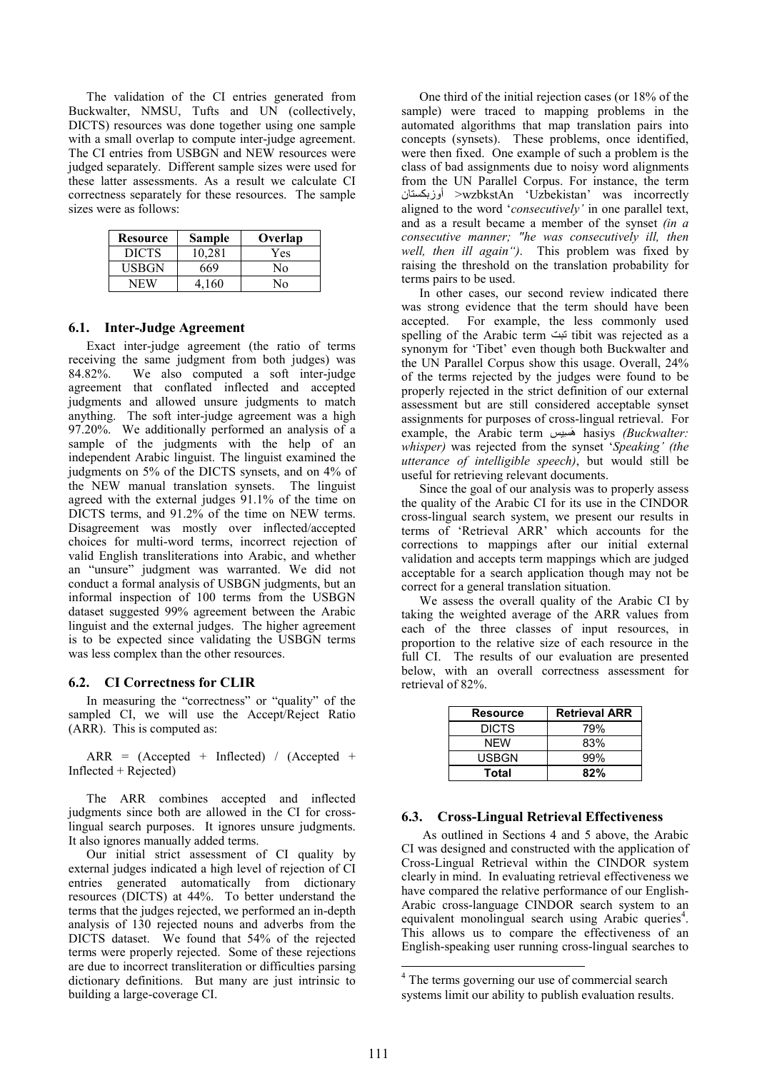The validation of the CI entries generated from Buckwalter, NMSU, Tufts and UN (collectively, DICTS) resources was done together using one sample with a small overlap to compute inter-judge agreement. The CI entries from USBGN and NEW resources were judged separately. Different sample sizes were used for these latter assessments. As a result we calculate CI correctness separately for these resources. The sample sizes were as follows:

| Resource     | <b>Sample</b> | Overlap |
|--------------|---------------|---------|
| <b>DICTS</b> | 10.281        | Yes     |
| <b>USBGN</b> | 669           | N٥      |
| NFW          | 4 160         | N٥      |

#### 6.1. Inter-Judge Agreement

Exact inter-judge agreement (the ratio of terms receiving the same judgment from both judges) was 84.82%. We also computed a soft inter-judge agreement that conflated inflected and accepted judgments and allowed unsure judgments to match anything. The soft inter-judge agreement was a high 97.20%. We additionally performed an analysis of a sample of the judgments with the help of an independent Arabic linguist. The linguist examined the judgments on 5% of the DICTS synsets, and on 4% of the NEW manual translation synsets. The linguist agreed with the external judges 91.1% of the time on DICTS terms, and 91.2% of the time on NEW terms. Disagreement was mostly over inflected/accepted choices for multi-word terms, incorrect rejection of valid English transliterations into Arabic, and whether an "unsure" judgment was warranted. We did not conduct a formal analysis of USBGN judgments, but an informal inspection of 100 terms from the USBGN dataset suggested 99% agreement between the Arabic linguist and the external judges. The higher agreement is to be expected since validating the USBGN terms was less complex than the other resources.

#### 6.2. CI Correctness for CLIR

In measuring the "correctness" or "quality" of the sampled CI, we will use the Accept/Reject Ratio (ARR). This is computed as:

 $ARR = (Accepted + Inflected) / (Accepted +$ Inflected + Rejected)

The ARR combines accepted and inflected judgments since both are allowed in the CI for crosslingual search purposes. It ignores unsure judgments. It also ignores manually added terms.

Our initial strict assessment of CI quality by external judges indicated a high level of rejection of CI entries generated automatically from dictionary resources (DICTS) at 44%. To better understand the terms that the judges rejected, we performed an in-depth analysis of 130 rejected nouns and adverbs from the DICTS dataset. We found that 54% of the rejected terms were properly rejected. Some of these rejections are due to incorrect transliteration or difficulties parsing dictionary definitions. But many are just intrinsic to building a large-coverage CI.

One third of the initial rejection cases (or 18% of the sample) were traced to mapping problems in the automated algorithms that map translation pairs into concepts (synsets). These problems, once identified, were then fixed. One example of such a problem is the class of bad assignments due to noisy word alignments from the UN Parallel Corpus. For instance, the term اوزبكستان >wzbkstAn 'Uzbekistan' was incorrectly aligned to the word 'consecutively' in one parallel text, and as a result became a member of the synset (in a consecutive manner; "he was consecutively ill, then well, then ill again"). This problem was fixed by raising the threshold on the translation probability for terms pairs to be used.

In other cases, our second review indicated there was strong evidence that the term should have been accepted. For example, the less commonly used spelling of the Arabic term نبت tibit was rejected as a synonym for 'Tibet' even though both Buckwalter and the UN Parallel Corpus show this usage. Overall, 24% of the terms rejected by the judges were found to be properly rejected in the strict definition of our external assessment but are still considered acceptable synset assignments for purposes of cross-lingual retrieval. For example, the Arabic term هَسِيس hasiys (Buckwalter: whisper) was rejected from the synset 'Speaking' (the utterance of intelligible speech), but would still be useful for retrieving relevant documents.

Since the goal of our analysis was to properly assess the quality of the Arabic CI for its use in the CINDOR cross-lingual search system, we present our results in terms of 'Retrieval ARR' which accounts for the corrections to mappings after our initial external validation and accepts term mappings which are judged acceptable for a search application though may not be correct for a general translation situation.

We assess the overall quality of the Arabic CI by taking the weighted average of the ARR values from each of the three classes of input resources, in proportion to the relative size of each resource in the full CI. The results of our evaluation are presented below, with an overall correctness assessment for retrieval of 82%.

| <b>Resource</b> | <b>Retrieval ARR</b> |
|-----------------|----------------------|
| <b>DICTS</b>    | 79%                  |
| NFW             | 83%                  |
| USBGN           | 99%                  |
| Total           | 82%                  |

#### 6.3. Cross-Lingual Retrieval Effectiveness

As outlined in Sections 4 and 5 above, the Arabic CI was designed and constructed with the application of Cross-Lingual Retrieval within the CINDOR system clearly in mind. In evaluating retrieval effectiveness we have compared the relative performance of our English-Arabic cross-language CINDOR search system to an equivalent monolingual search using Arabic queries<sup>4</sup>. This allows us to compare the effectiveness of an English-speaking user running cross-lingual searches to

 4 The terms governing our use of commercial search systems limit our ability to publish evaluation results.